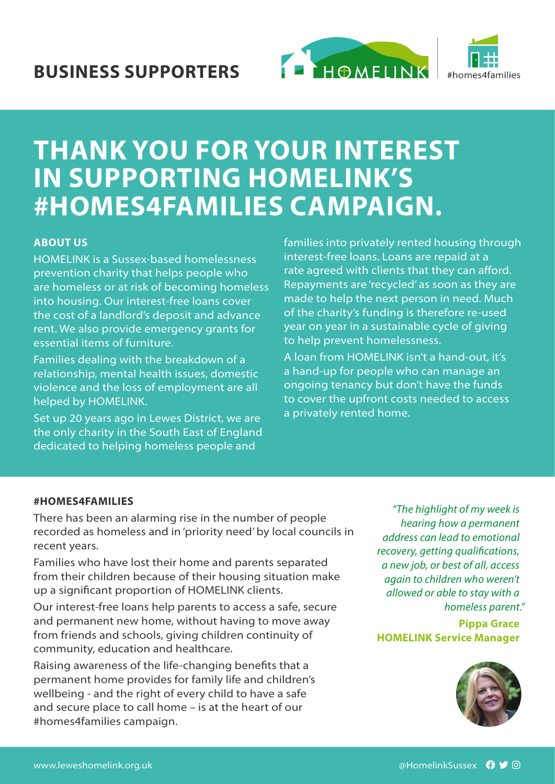



# **THANK YOU FOR YOUR INTEREST IN SUPPORTING HOMELINK'S #HOMES4FAMILIES CAMPAIGN.**

# **ABOUT US**

HOMELINK is a Sussex-based homelessness prevention charity that helps people who are homeless or at risk of becoming homeless into housing. Our interest-free loans cover the cost of a landlord's deposit and advance rent. We also provide emergency grants for essential items of furniture.

Families dealing with the breakdown of a relationship, mental health issues, domestic violence and the loss of employment are all helped by HOMELINK.

Set up 20 years ago in Lewes District, we are the only charity in the South East of England dedicated to helping homeless people and

families into privately rented housing through interest-free loans. Loans are repaid at a rate agreed with clients that they can afford. Repayments are 'recycled' as soon as they are made to help the next person in need. Much of the charity's funding is therefore re-used year on year in a sustainable cycle of giving to help prevent homelessness.

A loan from HOMELINK isn't a hand-out, it's a hand-up for people who can manage an ongoing tenancy but don't have the funds to cover the upfront costs needed to access a privately rented home.

#### **#HOMES4FAMILIES**

There has been an alarming rise in the number of people recorded as homeless and in 'priority need' by local councils in recent years.

Families who have lost their home and parents separated from their children because of their housing situation make up a significant proportion of HOMELINK clients.

Our interest-free loans help parents to access a safe, secure and permanent new home, without having to move away from friends and schools, giving children continuity of community, education and healthcare.

Raising awareness of the life-changing benefits that a permanent home provides for family life and children's wellbeing - and the right of every child to have a safe and secure place to call home – is at the heart of our #homes4families campaign.

*"The highlight of my week is hearing how a permanent address can lead to emotional recovery, getting qualifications, a new job, or best of all, access again to children who weren't allowed or able to stay with a homeless parent."*

**Pippa Grace HOMELINK Service Manager**